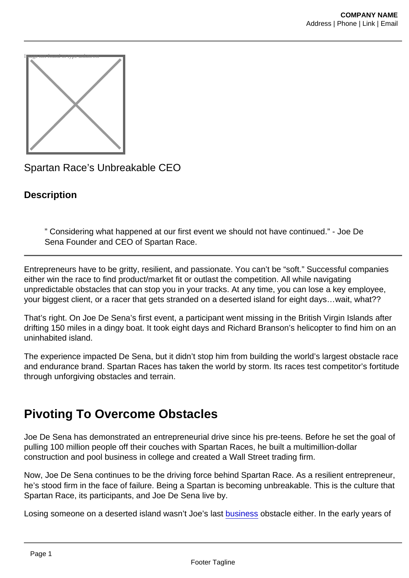

Spartan Race's Unbreakable CEO

**Description** 

" Considering what happened at our first event we should not have continued." - Joe De Sena Founder and CEO of Spartan Race.

Entrepreneurs have to be gritty, resilient, and passionate. You can't be "soft." Successful companies either win the race to find product/market fit or outlast the competition. All while navigating unpredictable obstacles that can stop you in your tracks. At any time, you can lose a key employee, your biggest client, or a racer that gets stranded on a deserted island for eight days…wait, what??

That's right. On Joe De Sena's first event, a participant went missing in the British Virgin Islands after drifting 150 miles in a dingy boat. It took eight days and Richard Branson's helicopter to find him on an uninhabited island.

The experience impacted De Sena, but it didn't stop him from building the world's largest obstacle race and endurance brand. Spartan Races has taken the world by storm. Its races test competitor's fortitude through unforgiving obstacles and terrain.

# Pivoting To Overcome Obstacles

Joe De Sena has demonstrated an entrepreneurial drive since his pre-teens. Before he set the goal of pulling 100 million people off their couches with Spartan Races, he built a multimillion-dollar construction and pool business in college and created a Wall Street trading firm.

Now, Joe De Sena continues to be the driving force behind Spartan Race. As a resilient entrepreneur, he's stood firm in the face of failure. Being a Spartan is becoming unbreakable. This is the culture that Spartan Race, its participants, and Joe De Sena live by.

Losing someone on a deserted island wasn't Joe's last [business](https://foodfightstudios.com/from-crisis-to-creative-everything-we-learned-in-unpredictable-times/) obstacle either. In the early years of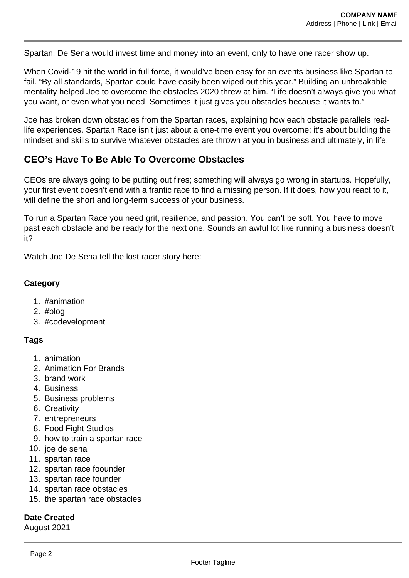Spartan, De Sena would invest time and money into an event, only to have one racer show up.

When Covid-19 hit the world in full force, it would've been easy for an events business like Spartan to fail. "By all standards, Spartan could have easily been wiped out this year." Building an unbreakable mentality helped Joe to overcome the obstacles 2020 threw at him. "Life doesn't always give you what you want, or even what you need. Sometimes it just gives you obstacles because it wants to."

Joe has broken down obstacles from the Spartan races, explaining how each obstacle parallels reallife experiences. Spartan Race isn't just about a one-time event you overcome; it's about building the mindset and skills to survive whatever obstacles are thrown at you in business and ultimately, in life.

## **CEO's Have To Be Able To Overcome Obstacles**

CEOs are always going to be putting out fires; something will always go wrong in startups. Hopefully, your first event doesn't end with a frantic race to find a missing person. If it does, how you react to it, will define the short and long-term success of your business.

To run a Spartan Race you need grit, resilience, and passion. You can't be soft. You have to move past each obstacle and be ready for the next one. Sounds an awful lot like running a business doesn't it?

Watch Joe De Sena tell the lost racer story here:

### **Category**

- 1. #animation
- 2. #blog
- 3. #codevelopment

## **Tags**

- 1. animation
- 2. Animation For Brands
- 3. brand work
- 4. Business
- 5. Business problems
- 6. Creativity
- 7. entrepreneurs
- 8. Food Fight Studios
- 9. how to train a spartan race
- 10. joe de sena
- 11. spartan race
- 12. spartan race foounder
- 13. spartan race founder
- 14. spartan race obstacles
- 15. the spartan race obstacles

### **Date Created**

August 2021